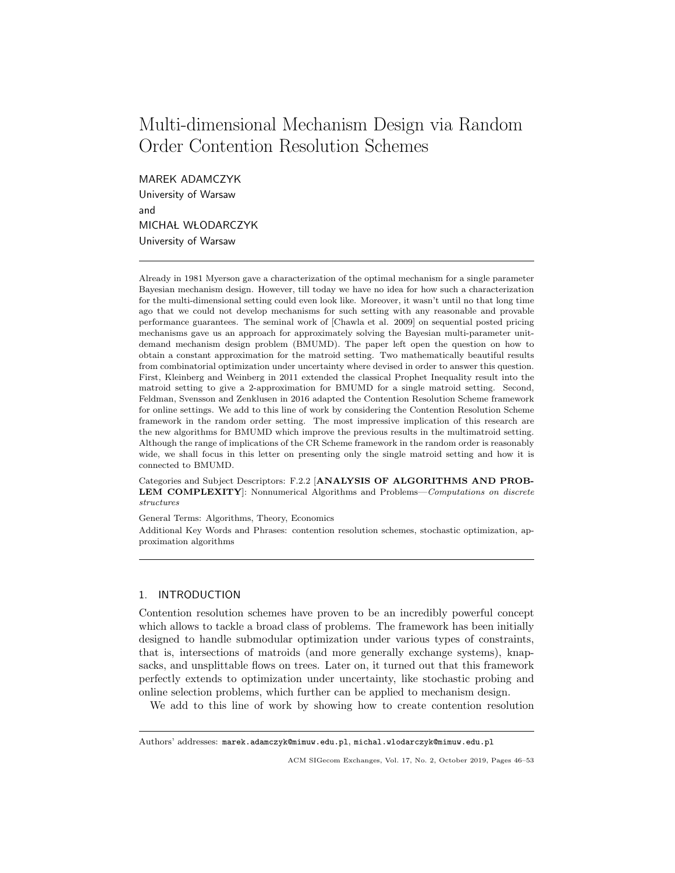# Multi-dimensional Mechanism Design via Random Order Contention Resolution Schemes

MAREK ADAMCZYK

University of Warsaw and MICHAŁ WŁODARCZYK University of Warsaw

Already in 1981 Myerson gave a characterization of the optimal mechanism for a single parameter Bayesian mechanism design. However, till today we have no idea for how such a characterization for the multi-dimensional setting could even look like. Moreover, it wasn't until no that long time ago that we could not develop mechanisms for such setting with any reasonable and provable performance guarantees. The seminal work of [Chawla et al. 2009] on sequential posted pricing mechanisms gave us an approach for approximately solving the Bayesian multi-parameter unitdemand mechanism design problem (BMUMD). The paper left open the question on how to obtain a constant approximation for the matroid setting. Two mathematically beautiful results from combinatorial optimization under uncertainty where devised in order to answer this question. First, Kleinberg and Weinberg in 2011 extended the classical Prophet Inequality result into the matroid setting to give a 2-approximation for BMUMD for a single matroid setting. Second, Feldman, Svensson and Zenklusen in 2016 adapted the Contention Resolution Scheme framework for online settings. We add to this line of work by considering the Contention Resolution Scheme framework in the random order setting. The most impressive implication of this research are the new algorithms for BMUMD which improve the previous results in the multimatroid setting. Although the range of implications of the CR Scheme framework in the random order is reasonably wide, we shall focus in this letter on presenting only the single matroid setting and how it is connected to BMUMD.

Categories and Subject Descriptors: F.2.2 [ANALYSIS OF ALGORITHMS AND PROB-LEM COMPLEXITY: Nonnumerical Algorithms and Problems—Computations on discrete structures

General Terms: Algorithms, Theory, Economics

Additional Key Words and Phrases: contention resolution schemes, stochastic optimization, approximation algorithms

# 1. INTRODUCTION

Contention resolution schemes have proven to be an incredibly powerful concept which allows to tackle a broad class of problems. The framework has been initially designed to handle submodular optimization under various types of constraints, that is, intersections of matroids (and more generally exchange systems), knapsacks, and unsplittable flows on trees. Later on, it turned out that this framework perfectly extends to optimization under uncertainty, like stochastic probing and online selection problems, which further can be applied to mechanism design.

We add to this line of work by showing how to create contention resolution

Authors' addresses: marek.adamczyk@mimuw.edu.pl, michal.wlodarczyk@mimuw.edu.pl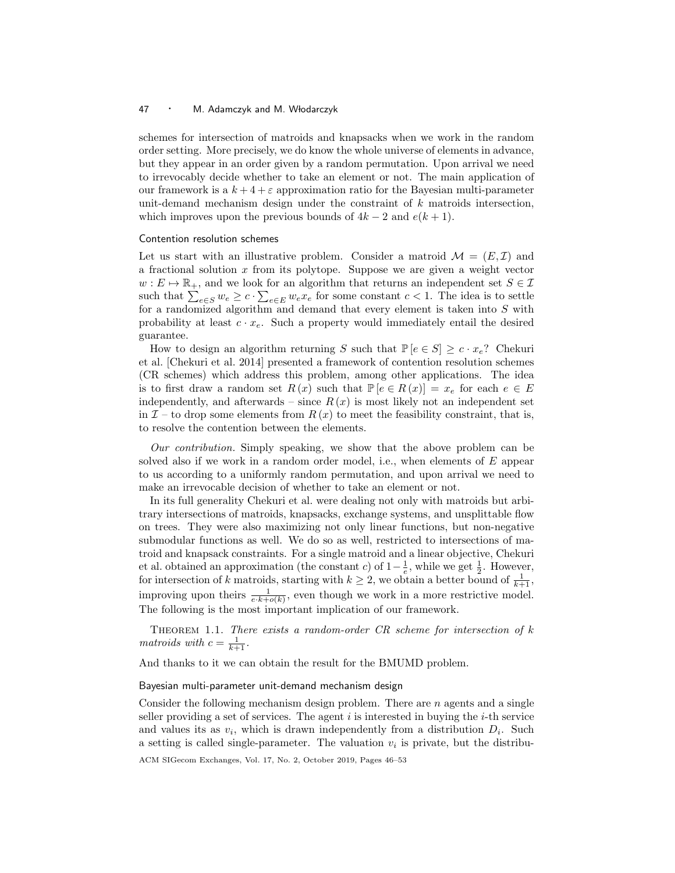## 47 • M. Adamczyk and M. Włodarczyk

schemes for intersection of matroids and knapsacks when we work in the random order setting. More precisely, we do know the whole universe of elements in advance, but they appear in an order given by a random permutation. Upon arrival we need to irrevocably decide whether to take an element or not. The main application of our framework is a  $k + 4 + \varepsilon$  approximation ratio for the Bayesian multi-parameter unit-demand mechanism design under the constraint of k matroids intersection, which improves upon the previous bounds of  $4k - 2$  and  $e(k + 1)$ .

## Contention resolution schemes

Let us start with an illustrative problem. Consider a matroid  $\mathcal{M} = (E, \mathcal{I})$  and a fractional solution x from its polytope. Suppose we are given a weight vector  $w : E \mapsto \mathbb{R}_+$ , and we look for an algorithm that returns an independent set  $S \in \mathcal{I}$ such that  $\sum_{e \in S} w_e \geq c \cdot \sum_{e \in E} w_e x_e$  for some constant  $c < 1$ . The idea is to settle for a randomized algorithm and demand that every element is taken into  $S$  with probability at least  $c \cdot x_e$ . Such a property would immediately entail the desired guarantee.

How to design an algorithm returning S such that  $\mathbb{P}\left[e \in S\right] \geq c \cdot x_e$ ? Chekuri et al. [Chekuri et al. 2014] presented a framework of contention resolution schemes (CR schemes) which address this problem, among other applications. The idea is to first draw a random set  $R(x)$  such that  $\mathbb{P}\left[e \in R(x)\right] = x_e$  for each  $e \in E$ independently, and afterwards – since  $R(x)$  is most likely not an independent set in  $\mathcal{I}$  – to drop some elements from  $R(x)$  to meet the feasibility constraint, that is, to resolve the contention between the elements.

Our contribution. Simply speaking, we show that the above problem can be solved also if we work in a random order model, i.e., when elements of E appear to us according to a uniformly random permutation, and upon arrival we need to make an irrevocable decision of whether to take an element or not.

In its full generality Chekuri et al. were dealing not only with matroids but arbitrary intersections of matroids, knapsacks, exchange systems, and unsplittable flow on trees. They were also maximizing not only linear functions, but non-negative submodular functions as well. We do so as well, restricted to intersections of matroid and knapsack constraints. For a single matroid and a linear objective, Chekuri et al. obtained an approximation (the constant c) of  $1-\frac{1}{e}$ , while we get  $\frac{1}{2}$ . However, for intersection of k matroids, starting with  $k \geq 2$ , we obtain a better bound of  $\frac{1}{k+1}$ , improving upon theirs  $\frac{1}{e \cdot k + o(k)}$ , even though we work in a more restrictive model. The following is the most important implication of our framework.

THEOREM 1.1. There exists a random-order  $CR$  scheme for intersection of  $k$ matroids with  $c = \frac{1}{k+1}$ .

And thanks to it we can obtain the result for the BMUMD problem.

#### Bayesian multi-parameter unit-demand mechanism design

Consider the following mechanism design problem. There are  $n$  agents and a single seller providing a set of services. The agent  $i$  is interested in buying the  $i$ -th service and values its as  $v_i$ , which is drawn independently from a distribution  $D_i$ . Such a setting is called single-parameter. The valuation  $v_i$  is private, but the distribu-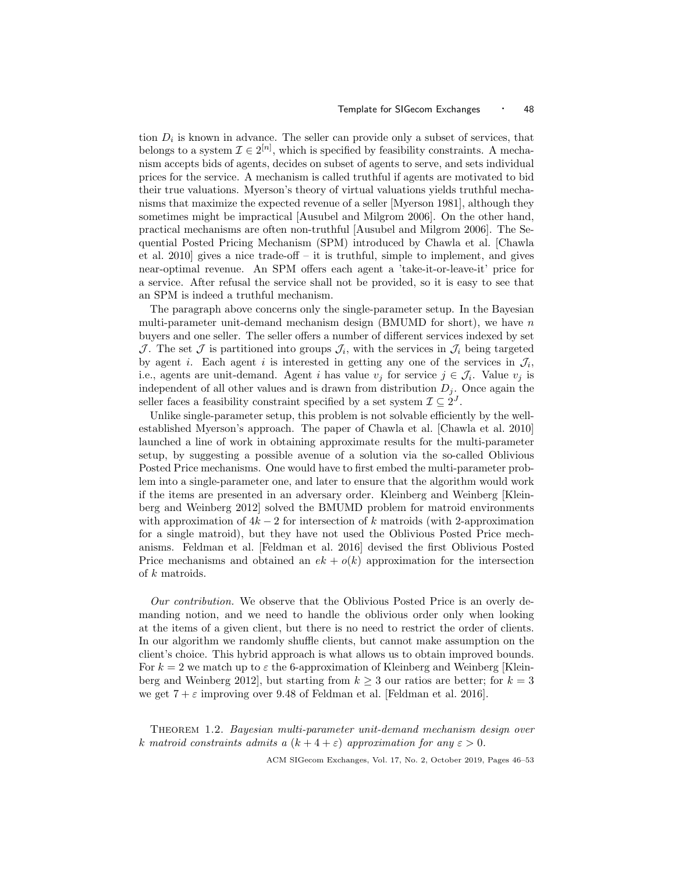tion  $D_i$  is known in advance. The seller can provide only a subset of services, that belongs to a system  $\mathcal{I} \in 2^{[n]}$ , which is specified by feasibility constraints. A mechanism accepts bids of agents, decides on subset of agents to serve, and sets individual prices for the service. A mechanism is called truthful if agents are motivated to bid their true valuations. Myerson's theory of virtual valuations yields truthful mechanisms that maximize the expected revenue of a seller [Myerson 1981], although they sometimes might be impractical [Ausubel and Milgrom 2006]. On the other hand, practical mechanisms are often non-truthful [Ausubel and Milgrom 2006]. The Sequential Posted Pricing Mechanism (SPM) introduced by Chawla et al. [Chawla et al. 2010] gives a nice trade-off – it is truthful, simple to implement, and gives near-optimal revenue. An SPM offers each agent a 'take-it-or-leave-it' price for a service. After refusal the service shall not be provided, so it is easy to see that an SPM is indeed a truthful mechanism.

The paragraph above concerns only the single-parameter setup. In the Bayesian multi-parameter unit-demand mechanism design (BMUMD for short), we have  $n$ buyers and one seller. The seller offers a number of different services indexed by set J. The set J is partitioned into groups  $\mathcal{J}_i$ , with the services in  $\mathcal{J}_i$  being targeted by agent *i*. Each agent *i* is interested in getting any one of the services in  $\mathcal{J}_i$ , i.e., agents are unit-demand. Agent i has value  $v_j$  for service  $j \in \mathcal{J}_i$ . Value  $v_j$  is independent of all other values and is drawn from distribution  $D_i$ . Once again the seller faces a feasibility constraint specified by a set system  $\mathcal{I} \subseteq 2^J$ .

Unlike single-parameter setup, this problem is not solvable efficiently by the wellestablished Myerson's approach. The paper of Chawla et al. [Chawla et al. 2010] launched a line of work in obtaining approximate results for the multi-parameter setup, by suggesting a possible avenue of a solution via the so-called Oblivious Posted Price mechanisms. One would have to first embed the multi-parameter problem into a single-parameter one, and later to ensure that the algorithm would work if the items are presented in an adversary order. Kleinberg and Weinberg [Kleinberg and Weinberg 2012] solved the BMUMD problem for matroid environments with approximation of  $4k-2$  for intersection of k matroids (with 2-approximation for a single matroid), but they have not used the Oblivious Posted Price mechanisms. Feldman et al. [Feldman et al. 2016] devised the first Oblivious Posted Price mechanisms and obtained an  $ek + o(k)$  approximation for the intersection of k matroids.

Our contribution. We observe that the Oblivious Posted Price is an overly demanding notion, and we need to handle the oblivious order only when looking at the items of a given client, but there is no need to restrict the order of clients. In our algorithm we randomly shuffle clients, but cannot make assumption on the client's choice. This hybrid approach is what allows us to obtain improved bounds. For  $k = 2$  we match up to  $\varepsilon$  the 6-approximation of Kleinberg and Weinberg [Kleinberg and Weinberg 2012], but starting from  $k \geq 3$  our ratios are better; for  $k = 3$ we get  $7 + \varepsilon$  improving over 9.48 of Feldman et al. [Feldman et al. 2016].

Theorem 1.2. Bayesian multi-parameter unit-demand mechanism design over k matroid constraints admits a  $(k+4+\varepsilon)$  approximation for any  $\varepsilon > 0$ .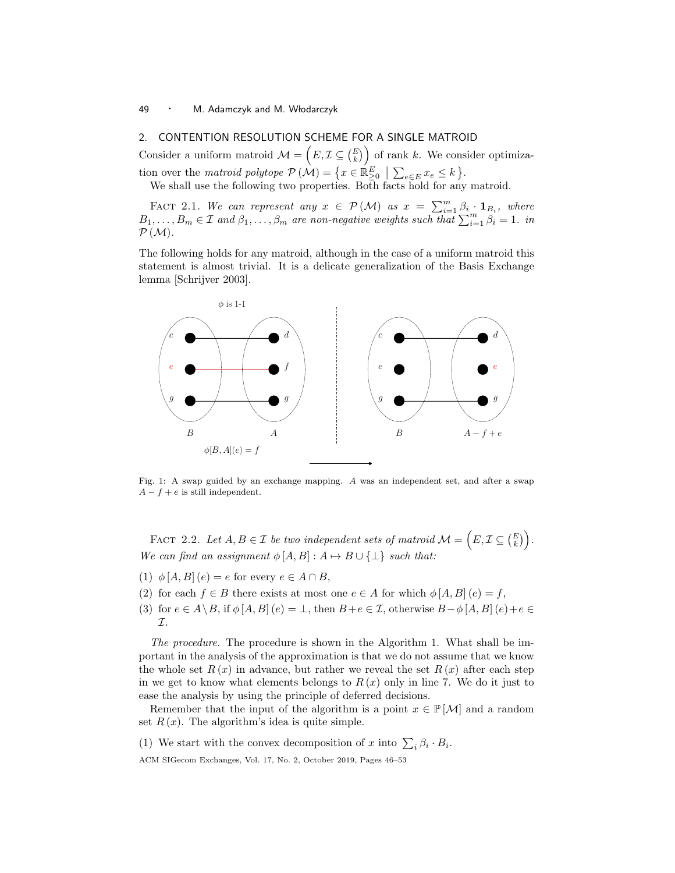# 49 · M. Adamczyk and M. Włodarczyk

# 2. CONTENTION RESOLUTION SCHEME FOR A SINGLE MATROID

Consider a uniform matroid  $\mathcal{M} = (E, \mathcal{I} \subseteq {E \choose k})$  of rank k. We consider optimization over the matroid polytope  $\mathcal{P}(\mathcal{M}) = \{x \in \mathbb{R}^E_{\geq 0} \mid \sum_{e \in E} x_e \leq k\}.$ 

We shall use the following two properties. Both facts hold for any matroid.

FACT 2.1. We can represent any  $x \in \mathcal{P}(\mathcal{M})$  as  $x = \sum_{i=1}^{m} \beta_i \cdot \mathbf{1}_{B_i}$ , where  $B_1, \ldots, B_m \in \mathcal{I}$  and  $\beta_1, \ldots, \beta_m$  are non-negative weights such that  $\sum_{i=1}^m \beta_i = 1$ . in  $P(M)$ .

The following holds for any matroid, although in the case of a uniform matroid this statement is almost trivial. It is a delicate generalization of the Basis Exchange lemma [Schrijver 2003].



Fig. 1: A swap guided by an exchange mapping. A was an independent set, and after a swap  $A - f + e$  is still independent.

FACT 2.2. Let  $A, B \in \mathcal{I}$  be two independent sets of matroid  $\mathcal{M} = (E, \mathcal{I} \subseteq {E \choose k})$ . We can find an assignment  $\phi$  [A, B] :  $A \mapsto B \cup \{\perp\}$  such that:

- (1)  $\phi$  [A, B] (e) = e for every  $e \in A \cap B$ ,
- (2) for each  $f \in B$  there exists at most one  $e \in A$  for which  $\phi [A, B] (e) = f$ ,
- (3) for  $e \in A \setminus B$ , if  $\phi [A, B] (e) = \bot$ , then  $B + e \in \mathcal{I}$ , otherwise  $B \phi [A, B] (e) + e \in \mathcal{I}$ I.

The procedure. The procedure is shown in the Algorithm 1. What shall be important in the analysis of the approximation is that we do not assume that we know the whole set  $R(x)$  in advance, but rather we reveal the set  $R(x)$  after each step in we get to know what elements belongs to  $R(x)$  only in line 7. We do it just to ease the analysis by using the principle of deferred decisions.

Remember that the input of the algorithm is a point  $x \in \mathbb{P}[\mathcal{M}]$  and a random set  $R(x)$ . The algorithm's idea is quite simple.

(1) We start with the convex decomposition of x into  $\sum_i \beta_i \cdot B_i$ .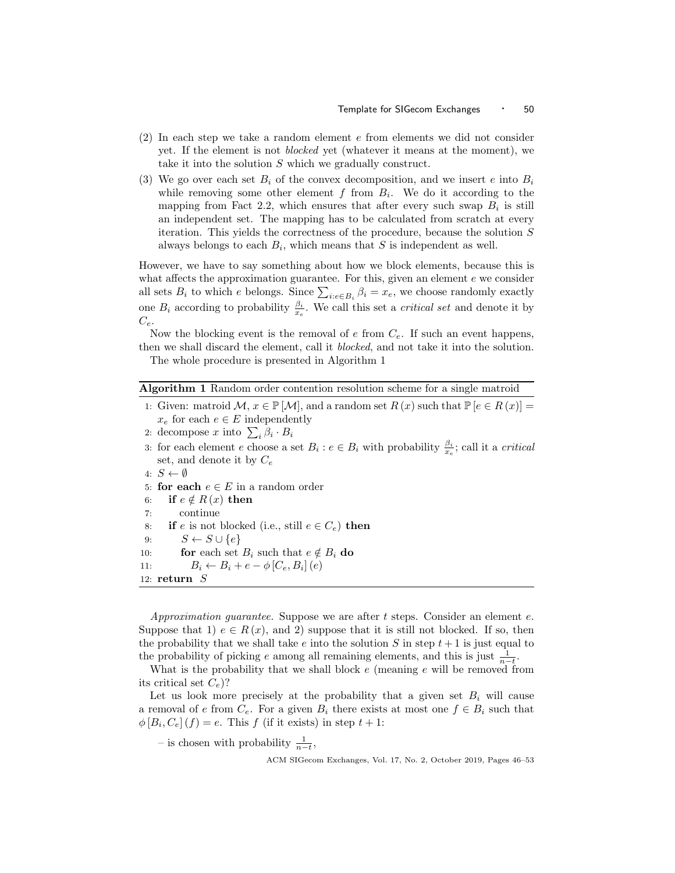- (2) In each step we take a random element e from elements we did not consider yet. If the element is not blocked yet (whatever it means at the moment), we take it into the solution S which we gradually construct.
- (3) We go over each set  $B_i$  of the convex decomposition, and we insert e into  $B_i$ while removing some other element  $f$  from  $B_i$ . We do it according to the mapping from Fact 2.2, which ensures that after every such swap  $B_i$  is still an independent set. The mapping has to be calculated from scratch at every iteration. This yields the correctness of the procedure, because the solution S always belongs to each  $B_i$ , which means that S is independent as well.

However, we have to say something about how we block elements, because this is what affects the approximation guarantee. For this, given an element  $e$  we consider all sets  $B_i$  to which e belongs. Since  $\sum_{i:e \in B_i} \beta_i = x_e$ , we choose randomly exactly one  $B_i$  according to probability  $\frac{\beta_i}{x_e}$ . We call this set a *critical set* and denote it by  $C_e$ .

Now the blocking event is the removal of  $e$  from  $C_e$ . If such an event happens, then we shall discard the element, call it *blocked*, and not take it into the solution.

The whole procedure is presented in Algorithm 1

|  |  |  | <b>Algorithm 1</b> Random order contention resolution scheme for a single matroid |  |
|--|--|--|-----------------------------------------------------------------------------------|--|
|  |  |  |                                                                                   |  |

- 1: Given: matroid  $\mathcal{M}, x \in \mathbb{P}[\mathcal{M}]$ , and a random set  $R(x)$  such that  $\mathbb{P}[e \in R(x)] =$  $x_e$  for each  $e \in E$  independently
- 2: decompose x into  $\sum_i \beta_i \cdot B_i$
- 3: for each element e choose a set  $B_i : e \in B_i$  with probability  $\frac{\beta_i}{x_e}$ ; call it a *critical* set, and denote it by  $C_e$
- 4:  $S \leftarrow \emptyset$
- 5: for each  $e \in E$  in a random order
- 6: if  $e \notin R(x)$  then
- 7: continue
- 8: if e is not blocked (i.e., still  $e \in C_e$ ) then
- 9:  $S \leftarrow S \cup \{e\}$
- 10: **for** each set  $B_i$  such that  $e \notin B_i$  do
- 11:  $B_i \leftarrow B_i + e \phi \left[ C_e, B_i \right] (e)$

```
12: return S
```
Approximation quarantee. Suppose we are after  $t$  steps. Consider an element  $e$ . Suppose that 1)  $e \in R(x)$ , and 2) suppose that it is still not blocked. If so, then the probability that we shall take e into the solution S in step  $t + 1$  is just equal to the probability of picking e among all remaining elements, and this is just  $\frac{1}{n-t}$ .

What is the probability that we shall block  $e$  (meaning  $e$  will be removed from its critical set  $C_e$ ?

Let us look more precisely at the probability that a given set  $B_i$  will cause a removal of e from  $C_e$ . For a given  $B_i$  there exists at most one  $f \in B_i$  such that  $\phi[B_i, C_e](f) = e$ . This f (if it exists) in step  $t + 1$ :

– is chosen with probability  $\frac{1}{n-t}$ ,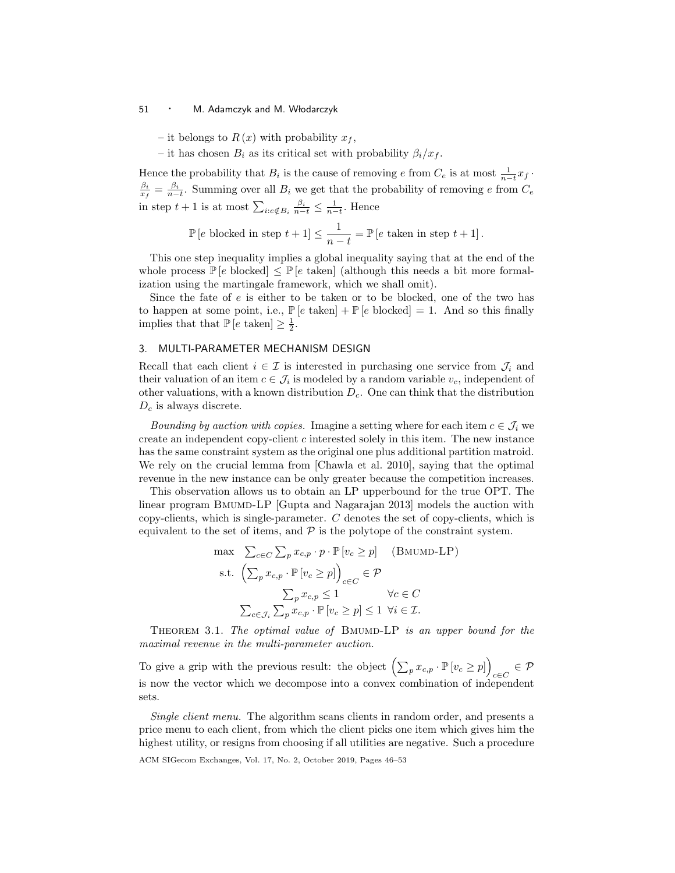#### 51 • M. Adamczyk and M. Włodarczyk

– it belongs to  $R(x)$  with probability  $x_f$ ,

– it has chosen  $B_i$  as its critical set with probability  $\beta_i/x_f$ .

Hence the probability that  $B_i$  is the cause of removing e from  $C_e$  is at most  $\frac{1}{n-t}x_f$ .  $\frac{\beta_i}{x_f} = \frac{\beta_i}{n-t}$ . Summing over all  $B_i$  we get that the probability of removing e from  $C_e$ in step  $t + 1$  is at most  $\sum_{i: e \notin B_i} \frac{\beta_i}{n-t} \leq \frac{1}{n-t}$ . Hence

$$
\mathbb{P}\left[e \text{ blocked in step } t+1\right] \le \frac{1}{n-t} = \mathbb{P}\left[e \text{ taken in step } t+1\right].
$$

This one step inequality implies a global inequality saying that at the end of the whole process  $\mathbb{P}[e]$  blocked  $\leq \mathbb{P}[e]$  taken  $\mathbb{P}[e]$  (although this needs a bit more formalization using the martingale framework, which we shall omit).

Since the fate of  $e$  is either to be taken or to be blocked, one of the two has to happen at some point, i.e.,  $\mathbb{P}[e]$  taken $] + \mathbb{P}[e]$  blocked  $] = 1$ . And so this finally implies that that  $\mathbb{P}\left[e \text{ taken}\right] \geq \frac{1}{2}$ .

## 3. MULTI-PARAMETER MECHANISM DESIGN

Recall that each client  $i \in \mathcal{I}$  is interested in purchasing one service from  $\mathcal{J}_i$  and their valuation of an item  $c \in \mathcal{J}_i$  is modeled by a random variable  $v_c$ , independent of other valuations, with a known distribution  $D<sub>c</sub>$ . One can think that the distribution  $D_c$  is always discrete.

Bounding by auction with copies. Imagine a setting where for each item  $c \in \mathcal{J}_i$  we create an independent copy-client c interested solely in this item. The new instance has the same constraint system as the original one plus additional partition matroid. We rely on the crucial lemma from [Chawla et al. 2010], saying that the optimal revenue in the new instance can be only greater because the competition increases.

This observation allows us to obtain an LP upperbound for the true OPT. The linear program BMUMD-LP [Gupta and Nagarajan 2013] models the auction with copy-clients, which is single-parameter. C denotes the set of copy-clients, which is equivalent to the set of items, and  $P$  is the polytope of the constraint system.

$$
\max \sum_{c \in C} \sum_{p} x_{c,p} \cdot p \cdot \mathbb{P} [v_c \ge p] \quad \text{(BMUND-LP)}
$$
\n
$$
\text{s.t. } \left( \sum_{p} x_{c,p} \cdot \mathbb{P} [v_c \ge p] \right)_{c \in C} \in \mathcal{P}
$$
\n
$$
\sum_{p} x_{c,p} \le 1 \qquad \forall c \in C
$$
\n
$$
\sum_{c \in \mathcal{J}_i} \sum_{p} x_{c,p} \cdot \mathbb{P} [v_c \ge p] \le 1 \ \forall i \in \mathcal{I}.
$$

THEOREM 3.1. The optimal value of BMUMD-LP is an upper bound for the maximal revenue in the multi-parameter auction.

To give a grip with the previous result: the object  $\left(\sum_p x_{c,p} \cdot \mathbb{P} [v_c \geq p]\right)$  $_{c\in C}$   $\in \mathcal{P}$ is now the vector which we decompose into a convex combination of independent sets.

Single client menu. The algorithm scans clients in random order, and presents a price menu to each client, from which the client picks one item which gives him the highest utility, or resigns from choosing if all utilities are negative. Such a procedure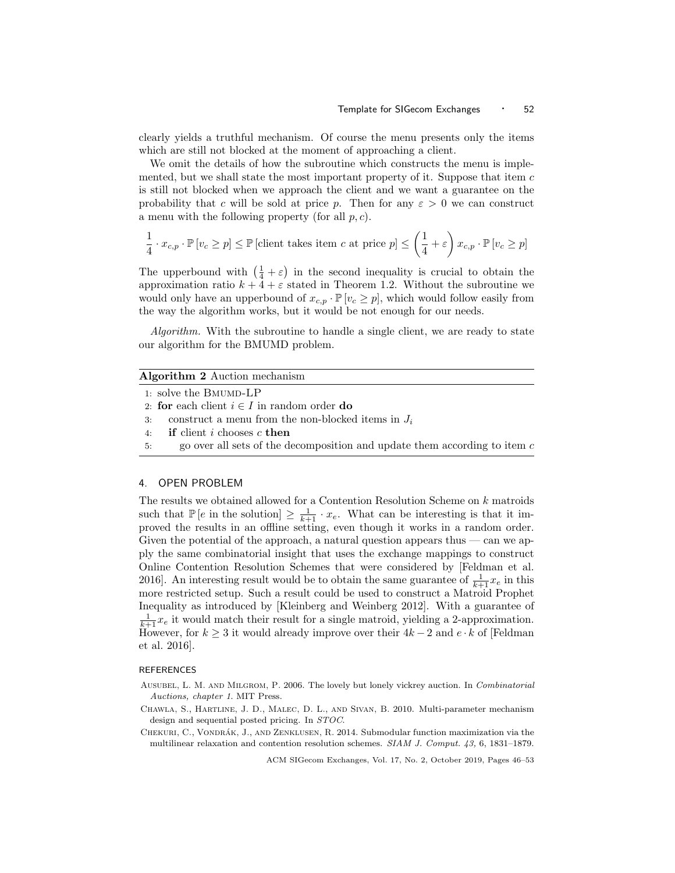clearly yields a truthful mechanism. Of course the menu presents only the items which are still not blocked at the moment of approaching a client.

We omit the details of how the subroutine which constructs the menu is implemented, but we shall state the most important property of it. Suppose that item  $c$ is still not blocked when we approach the client and we want a guarantee on the probability that c will be sold at price p. Then for any  $\varepsilon > 0$  we can construct a menu with the following property (for all  $p, c$ ).

$$
\frac{1}{4} \cdot x_{c,p} \cdot \mathbb{P} \left[ v_c \ge p \right] \le \mathbb{P} \left[ \text{client takes item } c \text{ at price } p \right] \le \left( \frac{1}{4} + \varepsilon \right) x_{c,p} \cdot \mathbb{P} \left[ v_c \ge p \right]
$$

The upperbound with  $(\frac{1}{4} + \varepsilon)$  in the second inequality is crucial to obtain the approximation ratio  $k + 4 + \varepsilon$  stated in Theorem 1.2. Without the subroutine we would only have an upperbound of  $x_{c,p} \cdot \mathbb{P}[v_c \geq p]$ , which would follow easily from the way the algorithm works, but it would be not enough for our needs.

Algorithm. With the subroutine to handle a single client, we are ready to state our algorithm for the BMUMD problem.

# Algorithm 2 Auction mechanism

```
1: solve the \operatorname{Bmumb-LP}
```
- 3: construct a menu from the non-blocked items in  $J_i$
- 4: if client i chooses c then
- 5: go over all sets of the decomposition and update them according to item  $c$

## 4. OPEN PROBLEM

The results we obtained allowed for a Contention Resolution Scheme on  $k$  matroids such that  $\mathbb{P}\left[e \text{ in the solution}\right] \geq \frac{1}{k+1} \cdot x_e$ . What can be interesting is that it improved the results in an offline setting, even though it works in a random order. Given the potential of the approach, a natural question appears thus — can we apply the same combinatorial insight that uses the exchange mappings to construct Online Contention Resolution Schemes that were considered by [Feldman et al. 2016]. An interesting result would be to obtain the same guarantee of  $\frac{1}{k+1}x_e$  in this more restricted setup. Such a result could be used to construct a Matroid Prophet Inequality as introduced by [Kleinberg and Weinberg 2012]. With a guarantee of  $\frac{1}{k+1}x_e$  it would match their result for a single matroid, yielding a 2-approximation. However, for  $k \geq 3$  it would already improve over their  $4k - 2$  and  $e \cdot k$  of [Feldman] et al. 2016].

#### **REFERENCES**

- AUSUBEL, L. M. AND MILGROM, P. 2006. The lovely but lonely vickrey auction. In Combinatorial Auctions, chapter 1. MIT Press.
- Chawla, S., Hartline, J. D., Malec, D. L., and Sivan, B. 2010. Multi-parameter mechanism design and sequential posted pricing. In STOC.
- CHEKURI, C., VONDRÁK, J., AND ZENKLUSEN, R. 2014. Submodular function maximization via the multilinear relaxation and contention resolution schemes. SIAM J. Comput. 43, 6, 1831–1879.

<sup>2:</sup> for each client  $i \in I$  in random order do